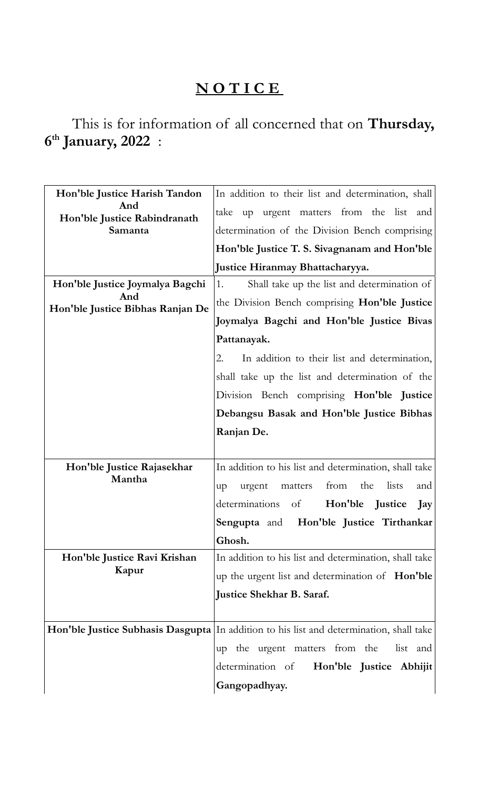## **N O T I C E**

This is for information of all concerned that on **Thursday, 6 th January, 2022** :

| Hon'ble Justice Harish Tandon<br>And<br>Hon'ble Justice Rabindranath<br>Samanta | In addition to their list and determination, shall                                      |
|---------------------------------------------------------------------------------|-----------------------------------------------------------------------------------------|
|                                                                                 | take up urgent matters from the list and                                                |
|                                                                                 | determination of the Division Bench comprising                                          |
|                                                                                 | Hon'ble Justice T. S. Sivagnanam and Hon'ble                                            |
|                                                                                 | Justice Hiranmay Bhattacharyya.                                                         |
| Hon'ble Justice Joymalya Bagchi<br>And<br>Hon'ble Justice Bibhas Ranjan De      | Shall take up the list and determination of<br>1.                                       |
|                                                                                 | the Division Bench comprising <b>Hon'ble Justice</b>                                    |
|                                                                                 | Joymalya Bagchi and Hon'ble Justice Bivas                                               |
|                                                                                 | Pattanayak.                                                                             |
|                                                                                 | In addition to their list and determination,<br>2.                                      |
|                                                                                 | shall take up the list and determination of the                                         |
|                                                                                 | Division Bench comprising Hon'ble Justice                                               |
|                                                                                 | Debangsu Basak and Hon'ble Justice Bibhas                                               |
|                                                                                 | Ranjan De.                                                                              |
|                                                                                 |                                                                                         |
| Hon'ble Justice Rajasekhar<br>Mantha                                            | In addition to his list and determination, shall take                                   |
|                                                                                 | the<br>lists<br>from<br>and<br>urgent<br>matters<br>up                                  |
|                                                                                 | Hon'ble Justice<br>determinations<br>of<br>Jay                                          |
|                                                                                 | Sengupta and Hon'ble Justice Tirthankar                                                 |
|                                                                                 | Ghosh.                                                                                  |
| Hon'ble Justice Ravi Krishan<br>Kapur                                           | In addition to his list and determination, shall take                                   |
|                                                                                 | up the urgent list and determination of <b>Hon'ble</b>                                  |
|                                                                                 | <b>Justice Shekhar B. Saraf.</b>                                                        |
|                                                                                 |                                                                                         |
|                                                                                 | Hon'ble Justice Subhasis Dasgupta In addition to his list and determination, shall take |
|                                                                                 | list and<br>the urgent matters from the<br>up                                           |
|                                                                                 | determination of<br>Hon'ble Justice Abhijit                                             |
|                                                                                 | Gangopadhyay.                                                                           |